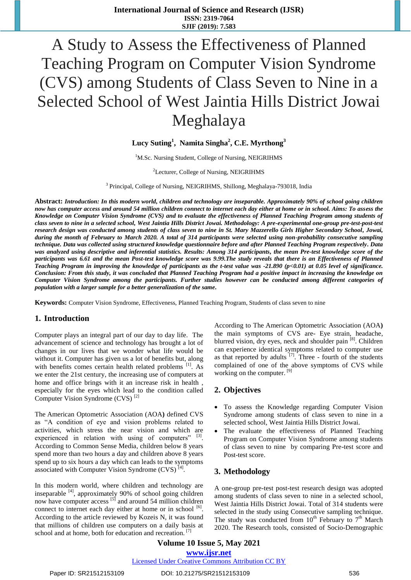# A Study to Assess the Effectiveness of Planned Teaching Program on Computer Vision Syndrome (CVS) among Students of Class Seven to Nine in a Selected School of West Jaintia Hills District Jowai Meghalaya

# **Lucy Suting<sup>1</sup> , Namita Singha<sup>2</sup> , C.E. Myrthong<sup>3</sup>**

<sup>1</sup>M.Sc. Nursing Student, College of Nursing, NEIGRIHMS

<sup>2</sup>Lecturer, College of Nursing, NEIGRIHMS

<sup>3</sup> Principal, College of Nursing, NEIGRIHMS, Shillong, Meghalaya-793018, India

**Abstract:** *Introduction: In this modern world, children and technology are inseparable. Approximately 90% of school going children now has computer access and around 54 million children connect to internet each day either at home or in school. Aims: To assess the Knowledge on Computer Vision Syndrome (CVS) and to evaluate the effectiveness of Planned Teaching Program among students of class seven to nine in a selected school, West Jaintia Hills District Jowai. Methodology: A pre-experimental one-group pre-test-post-test research design was conducted among students of class seven to nine in St. Mary Mazzerello Girls Higher Secondary School, Jowai, during the month of February to March 2020. A total of 314 participants were selected using non-probability consecutive sampling technique. Data was collected using structured knowledge questionnaire before and after Planned Teaching Program respectively. Data was analyzed using descriptive and inferential statistics. Results: Among 314 participants, the mean Pre-test knowledge score of the participants was 6.61 and the mean Post-test knowledge score was 9.99.The study reveals that there is an Effectiveness of Planned Teaching Program in improving the knowledge of participants as the t-test value was -21.890 (p<0.01) at 0.05 level of significance. Conclusion: From this study, it was concluded that Planned Teaching Program had a positive impact in increasing the knowledge on Computer Vision Syndrome among the participants. Further studies however can be conducted among different categories of population with a larger sample for a better generalization of the same.*

**Keywords:** Computer Vision Syndrome, Effectiveness, Planned Teaching Program, Students of class seven to nine

### **1. Introduction**

Computer plays an integral part of our day to day life. The advancement of science and technology has brought a lot of changes in our lives that we wonder what life would be without it. Computer has given us a lot of benefits but, along with benefits comes certain health related problems <sup>[1]</sup>. As we enter the 21st century, the increasing use of computers at home and office brings with it an increase risk in health , especially for the eyes which lead to the condition called Computer Vision Syndrome (CVS) [2]

The American Optometric Association (AOA**)** defined CVS as "A condition of eye and vision problems related to activities, which stress the near vision and which are experienced in relation with using of computers"  $[3]$ . According to Common Sense Media, children below 8 years spend more than two hours a day and children above 8 years spend up to six hours a day which can leads to the symptoms associated with Computer Vision Syndrome  $(CVS)^{[4]}$ .

In this modern world, where children and technology are inseparable <sup>[4]</sup>, approximately 90% of school going children now have computer access [5] and around 54 million children connect to internet each day either at home or in school [6]. According to the article reviewed by Kozeis N, it was found that millions of children use computers on a daily basis at school and at home, both for education and recreation.<sup>[7]</sup>

According to The American Optometric Association (AOA**)** the main symptoms of CVS are- Eye strain, headache, blurred vision, dry eyes, neck and shoulder pain <sup>[8]</sup>. Children can experience identical symptoms related to computer use as that reported by adults  $^{[7]}$ . Three - fourth of the students complained of one of the above symptoms of CVS while working on the computer. [9]

### **2. Objectives**

- To assess the Knowledge regarding Computer Vision Syndrome among students of class seven to nine in a selected school, West Jaintia Hills District Jowai.
- The evaluate the effectiveness of Planned Teaching Program on Computer Vision Syndrome among students of class seven to nine by comparing Pre-test score and Post-test score.

### **3. Methodology**

A one-group pre-test post-test research design was adopted among students of class seven to nine in a selected school, West Jaintia Hills District Jowai. Total of 314 students were selected in the study using Consecutive sampling technique. The study was conducted from  $10^{th}$  February to  $7^{th}$  March 2020. The Research tools, consisted of Socio-Demographic

**Volume 10 Issue 5, May 2021 www.ijsr.net** Licensed Under Creative Commons Attribution CC BY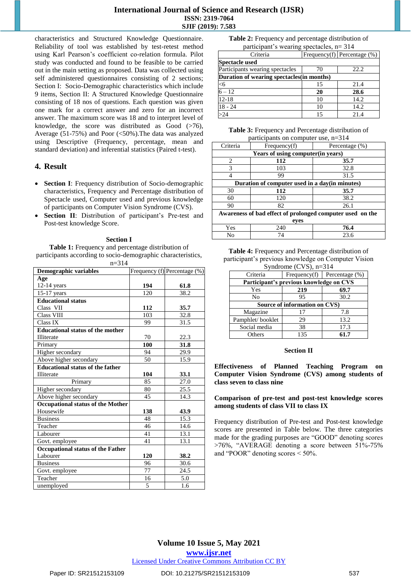#### **International Journal of Science and Research (IJSR) ISSN: 2319-7064 SJIF (2019): 7.583**

characteristics and Structured Knowledge Questionnaire. Reliability of tool was established by test-retest method using Karl Pearson"s coefficient co-relation formula. Pilot study was conducted and found to be feasible to be carried out in the main setting as proposed. Data was collected using self administered questionnaires consisting of 2 sections; Section I: Socio-Demographic characteristics which include 9 items, Section II: A Structured Knowledge Questionnaire consisting of 18 nos of questions. Each question was given one mark for a correct answer and zero for an incorrect answer. The maximum score was 18 and to interpret level of knowledge, the score was distributed as  $\ddot{Good}$  (>76), Average (51-75%) and Poor (<50%).The data was analyzed using Descriptive (Frequency, percentage, mean and standard deviation) and inferential statistics (Paired t-test).

### **4. Result**

- **Section I**: Frequency distribution of Socio-demographic characteristics, Frequency and Percentage distribution of Spectacle used, Computer used and previous knowledge of participants on Computer Vision Syndrome (CVS).
- Section II: Distribution of participant's Pre-test and Post-test knowledge Score.

#### **Section I**

**Table 1:** Frequency and percentage distribution of participants according to socio-demographic characteristics,  $n=314$ 

| <b>Demographic variables</b>            |     | Frequency (f) Percentage (%) |
|-----------------------------------------|-----|------------------------------|
| Age                                     |     |                              |
| $12-14$ years                           | 194 | 61.8                         |
| $15-17$ years                           | 120 | 38.2                         |
| <b>Educational status</b>               |     |                              |
| Class VII                               | 112 | 35.7                         |
| <b>Class VIII</b>                       | 103 | 32.8                         |
| Class IX                                | 99  | 31.5                         |
| <b>Educational status of the mother</b> |     |                              |
| Illiterate                              | 70  | 22.3                         |
| Primary                                 | 100 | 31.8                         |
| Higher secondary                        | 94  | 29.9                         |
| Above higher secondary                  | 50  | 15.9                         |
| <b>Educational status of the father</b> |     |                              |
| Illiterate                              | 104 | 33.1                         |
| Primary                                 | 85  | 27.0                         |
| Higher secondary                        | 80  | 25.5                         |
| Above higher secondary                  | 45  | 14.3                         |
| Occupational status of the Mother       |     |                              |
| Housewife                               | 138 | 43.9                         |
| <b>Business</b>                         | 48  | 15.3                         |
| Teacher                                 | 46  | 14.6                         |
| Labourer                                | 41  | 13.1                         |
| Govt. employee                          | 41  | 13.1                         |
| Occupational status of the Father       |     |                              |
| Labourer                                | 120 | 38.2                         |
| <b>Business</b>                         | 96  | 30.6                         |
| Govt. employee                          | 77  | 24.5                         |
| Teacher                                 | 16  | 5.0                          |
| unemployed                              | 5   | 1.6                          |

| Table 2: Frequency and percentage distribution of |
|---------------------------------------------------|
| participant's wearing spectacles, $n = 314$       |

| Criteria                                  |    | Frequency(f) Percentage $(\%)$ |
|-------------------------------------------|----|--------------------------------|
| Spectacle used                            |    |                                |
| Participants wearing spectacles           | 70 | 22.2                           |
| Duration of wearing spectacles(in months) |    |                                |
| <6                                        | 15 | 21.4                           |
| $6 - 12$                                  | 20 | 28.6                           |
| $12 - 18$                                 | 10 | 14.2                           |
| $18 - 24$                                 | 10 | 14.2                           |
|                                           | 15 | 21.4                           |

**Table 3:** Frequency and Percentage distribution of participants on computer use, n=314

| Criteria                                       | Frequency(f)                                              | Percentage (%) |  |  |  |  |
|------------------------------------------------|-----------------------------------------------------------|----------------|--|--|--|--|
| Years of using computer(in years)              |                                                           |                |  |  |  |  |
| $\mathcal{D}_{\mathcal{L}}$                    | 112<br>35.7                                               |                |  |  |  |  |
| 3                                              | 103                                                       | 32.8           |  |  |  |  |
|                                                | 99                                                        | 31.5           |  |  |  |  |
| Duration of computer used in a day(in minutes) |                                                           |                |  |  |  |  |
| 30                                             | 112                                                       | 35.7           |  |  |  |  |
| 60                                             | 120                                                       | 38.2           |  |  |  |  |
| 90                                             | 82                                                        | 26.1           |  |  |  |  |
|                                                | Awareness of bad effect of prolonged computer used on the |                |  |  |  |  |
|                                                | eyes                                                      |                |  |  |  |  |
| Yes                                            | 240                                                       | 76.4           |  |  |  |  |
| No                                             | 74                                                        | 23.6           |  |  |  |  |

**Table 4:** Frequency and Percentage distribution of participant's previous knowledge on Computer Vision Syndrome (CVS), n=314

| $\beta$ , noticine (e $\beta$ ), if $\beta$ is a |                               |                                |  |  |  |
|--------------------------------------------------|-------------------------------|--------------------------------|--|--|--|
| Criteria                                         |                               | Frequency(f) Percentage $(\%)$ |  |  |  |
| Participant's previous knowledge on CVS          |                               |                                |  |  |  |
| Yes                                              | 219                           | 69.7                           |  |  |  |
| No                                               | 95                            | 30.2                           |  |  |  |
|                                                  | Source of information on CVS) |                                |  |  |  |
| Magazine<br>7.8<br>17                            |                               |                                |  |  |  |
| Pamphlet/booklet                                 | 29                            | 13.2                           |  |  |  |
| Social media                                     | 38                            | 17.3                           |  |  |  |
| Others                                           | 135                           | 61.7                           |  |  |  |

#### **Section II**

**Effectiveness of Planned Teaching Program on Computer Vision Syndrome (CVS) among students of class seven to class nine**

#### **Comparison of pre-test and post-test knowledge scores among students of class VII to class IX**

Frequency distribution of Pre-test and Post-test knowledge scores are presented in Table below. The three categories made for the grading purposes are "GOOD" denoting scores >76%, "AVERAGE denoting a score between 51%-75% and "POOR" denoting scores < 50%.

# **Volume 10 Issue 5, May 2021**

**www.ijsr.net**

Licensed Under Creative Commons Attribution CC BY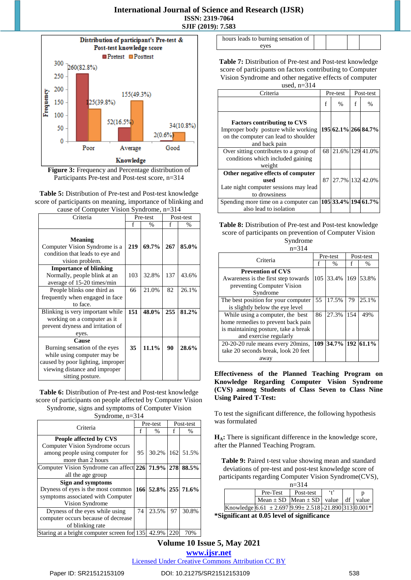## **International Journal of Science and Research (IJSR) ISSN: 2319-7064 SJIF (2019): 7.583**



**Figure 3:** Frequency and Percentage distribution of Participants Pre-test and Post-test score, n=314

**Table 5:** Distribution of Pre-test and Post-test knowledge score of participants on meaning, importance of blinking and cause of Computer Vision Syndrome, n=314

| cause of Compater $\alpha$ islams yndrome, $n=31+$ |          |               |     |               |  |
|----------------------------------------------------|----------|---------------|-----|---------------|--|
| Criteria                                           | Pre-test |               |     | Post-test     |  |
|                                                    | f        | $\frac{0}{0}$ | f   | $\frac{0}{0}$ |  |
|                                                    |          |               |     |               |  |
| <b>Meaning</b>                                     |          |               |     |               |  |
| Computer Vision Syndrome is a                      | 219      | 69.7%         | 267 | 85.0%         |  |
| condition that leads to eye and                    |          |               |     |               |  |
| vision problem.                                    |          |               |     |               |  |
| <b>Importance of blinking</b>                      |          |               |     |               |  |
| Normally, people blink at an                       | 103      | 32.8%         | 137 | 43.6%         |  |
| average of 15-20 times/min                         |          |               |     |               |  |
| People blinks one third as                         | 66       | 21.0%         | 82  | 26.1%         |  |
| frequently when engaged in face                    |          |               |     |               |  |
| to face.                                           |          |               |     |               |  |
| Blinking is very important while                   | 151      | 48.0%         | 255 | 81.2%         |  |
| working on a computer as it                        |          |               |     |               |  |
| prevent dryness and irritation of                  |          |               |     |               |  |
| eyes.                                              |          |               |     |               |  |
| <b>Cause</b>                                       |          |               |     |               |  |
| Burning sensation of the eyes                      | 35       | 11.1%         | 90  | 28.6%         |  |
| while using computer may be                        |          |               |     |               |  |
| caused by poor lighting, improper                  |          |               |     |               |  |
| viewing distance and improper                      |          |               |     |               |  |
| sitting posture.                                   |          |               |     |               |  |

**Table 6:** Distribution of Pre-test and Post-test knowledge score of participants on people affected by Computer Vision Syndrome, signs and symptoms of Computer Vision

Syndrome, n=314

| Criteria                                          |     | Pre-test        |     | Post-test     |  |
|---------------------------------------------------|-----|-----------------|-----|---------------|--|
|                                                   | f   | $\frac{0}{0}$   |     | $\frac{0}{0}$ |  |
| People affected by CVS                            |     |                 |     |               |  |
| Computer Vision Syndrome occurs                   |     |                 |     |               |  |
| among people using computer for                   | 95  | 30.2%           | 162 | 51.5%         |  |
| more than 2 hours                                 |     |                 |     |               |  |
| Computer Vision Syndrome can affect 226 71.9% 278 |     |                 |     | 88.5%         |  |
| all the age group                                 |     |                 |     |               |  |
| Sign and symptoms                                 |     |                 |     |               |  |
| Dryness of eyes is the most common                | 166 | 52.8% 255 71.6% |     |               |  |
| symptoms associated with Computer                 |     |                 |     |               |  |
| Vision Syndrome                                   |     |                 |     |               |  |
| Dryness of the eyes while using                   | 74  | 23.5%           | 97  | 30.8%         |  |
| computer occurs because of decrease               |     |                 |     |               |  |
| of blinking rate                                  |     |                 |     |               |  |
| Staring at a bright computer screen for           | 135 | 42.9%           | 220 | 70%           |  |

| hours leads to burning sensation of |  |  |
|-------------------------------------|--|--|
| eves                                |  |  |

**Table 7:** Distribution of Pre-test and Post-test knowledge score of participants on factors contributing to Computer Vision Syndrome and other negative effects of computer

used,  $n=314$ 

| Criteria                                                                                                                           |   | Pre-test           | Post-test |                     |
|------------------------------------------------------------------------------------------------------------------------------------|---|--------------------|-----------|---------------------|
|                                                                                                                                    | f | $\frac{0}{0}$      | f         | %                   |
| <b>Factors contributing to CVS</b><br>Improper body posture while working<br>on the computer can lead to shoulder<br>and back pain |   |                    |           | 195 62.1% 266 84.7% |
| Over sitting contributes to a group of<br>conditions which included gaining<br>weight                                              |   | 68 21.6% 129 41.0% |           |                     |
| Other negative effects of computer<br>used<br>Late night computer sessions may lead<br>to drowsiness                               |   | 87 27.7% 132 42.0% |           |                     |
| Spending more time on a computer can<br>also lead to isolation                                                                     |   |                    |           | 105 33.4% 194 61.7% |

#### **Table 8:** Distribution of Pre-test and Post-test knowledge score of participants on prevention of Computer Vision Syndrome

n=314

| Criteria                                                  |    | Pre-test      |     | Post-test     |  |
|-----------------------------------------------------------|----|---------------|-----|---------------|--|
|                                                           |    | $\frac{0}{0}$ |     | $\frac{0}{0}$ |  |
| <b>Prevention of CVS</b>                                  |    |               |     |               |  |
| Awareness is the first step towards                       |    | 105 33.4%     | 169 | 53.8%         |  |
| preventing Computer Vision                                |    |               |     |               |  |
| Syndrome                                                  |    |               |     |               |  |
| The best position for your computer                       | 55 | 17.5%         | 79  | 25.1%         |  |
| is slightly below the eye level                           |    |               |     |               |  |
| While using a computer, the best                          | 86 | 27.3%         | 154 | 49%           |  |
| home remedies to prevent back pain                        |    |               |     |               |  |
| is maintaining posture, take a break                      |    |               |     |               |  |
| and exercise regularly                                    |    |               |     |               |  |
| 109 34.7% 192 61.1%<br>20-20-20 rule means every 20 mins. |    |               |     |               |  |
| take 20 seconds break, look 20 feet                       |    |               |     |               |  |
| away                                                      |    |               |     |               |  |

**Effectiveness of the Planned Teaching Program on Knowledge Regarding Computer Vision Syndrome (CVS) among Students of Class Seven to Class Nine Using Paired T-Test:** 

To test the significant difference, the following hypothesis was formulated

**HA:** There is significant difference in the knowledge score, after the Planned Teaching Program.

**Table 9:** Paired t-test value showing mean and standard deviations of pre-test and post-test knowledge score of participants regarding Computer Vision Syndrome(CVS),

| $n=314$ |                                                                |           |         |  |  |
|---------|----------------------------------------------------------------|-----------|---------|--|--|
|         | Pre-Test                                                       | Post-test | $4^{,}$ |  |  |
|         | Mean $\pm$ SD   Mean $\pm$ SD   value   df   value             |           |         |  |  |
|         | Knowledge $ 6.61 \pm 2.697 9.99 \pm 2.518 $ -21.890 313 0.001* |           |         |  |  |

**\*Significant at 0.05 level of significance**

# **Volume 10 Issue 5, May 2021 www.ijsr.net**

Licensed Under Creative Commons Attribution CC BY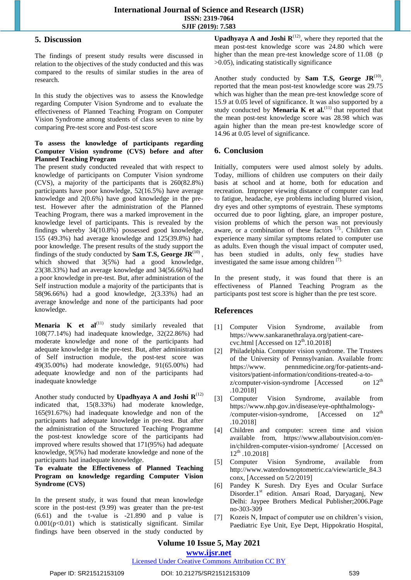#### **5. Discussion**

The findings of present study results were discussed in relation to the objectives of the study conducted and this was compared to the results of similar studies in the area of research.

In this study the objectives was to assess the Knowledge regarding Computer Vision Syndrome and to evaluate the effectiveness of Planned Teaching Program on Computer Vision Syndrome among students of class seven to nine by comparing Pre-test score and Post-test score

#### **To assess the knowledge of participants regarding Computer Vision syndrome (CVS) before and after Planned Teaching Program**

The present study conducted revealed that with respect to knowledge of participants on Computer Vision syndrome (CVS), a majority of the participants that is 260(82.8%) participants have poor knowledge, 52(16.5%) have average knowledge and 2(0.6%) have good knowledge in the pretest. However after the administration of the Planned Teaching Program, there was a marked improvement in the knowledge level of participants. This is revealed by the findings whereby 34(10.8%) possessed good knowledge, 155 (49.3%) had average knowledge and 125(39.8%) had poor knowledge. The present results of the study support the findings of the study conducted by **Sam T.S, George**  $J\mathbf{R}^{(10)}$ , which showed that  $3(5%)$  had a good knowledge, 23(38.33%) had an average knowledge and 34(56.66%) had a poor knowledge in pre-test. But, after administration of the Self instruction module a majority of the participants that is 58(96.66%) had a good knowledge, 2(3.33%) had an average knowledge and none of the participants had poor knowledge.

**Menaria K et al**<sup>(11)</sup> study similarly revealed that 108(77.14%) had inadequate knowledge, 32(22.86%) had moderate knowledge and none of the participants had adequate knowledge in the pre-test. But, after administration of Self instruction module, the post-test score was 49(35.00%) had moderate knowledge, 91(65.00%) had adequate knowledge and non of the participants had inadequate knowledge

Another study conducted by **Upadhyaya A and Joshi R** $^{(12)}$ indicated that, 15(8.33%) had moderate knowledge, 165(91.67%) had inadequate knowledge and non of the participants had adequate knowledge in pre-test. But after the administration of the Structured Teaching Programme the post-test knowledge score of the participants had improved where results showed that 171(95%) had adequate knowledge, 9(5%) had moderate knowledge and none of the participants had inadequate knowledge.

**To evaluate the Effectiveness of Planned Teaching Program on knowledge regarding Computer Vision Syndrome (CVS)**

In the present study, it was found that mean knowledge score in the post-test (9.99) was greater than the pre-test (6.61) and the t-value is -21.890 and p value is  $0.001(p<0.01)$  which is statistically significant. Similar findings have been observed in the study conducted by

**Upadhyaya A and Joshi**  $\mathbb{R}^{(12)}$ , where they reported that the mean post-test knowledge score was 24.80 which were higher than the mean pre-test knowledge score of 11.08 (p >0.05), indicating statistically significance

Another study conducted by **Sam T.S, George**  $J\mathbb{R}^{(10)}$ , reported that the mean post-test knowledge score was 29.75 which was higher than the mean pre-test knowledge score of 15.9 at 0.05 level of significance. It was also supported by a study conducted by **Menaria K et al.**<sup>(11)</sup> that reported that the mean post-test knowledge score was 28.98 which was again higher than the mean pre-test knowledge score of 14.96 at 0.05 level of significance.

# **6. Conclusion**

Initially, computers were used almost solely by adults. Today, millions of children use computers on their daily basis at school and at home, both for education and recreation. Improper viewing distance of computer can lead to fatigue, headache, eye problems including blurred vision, dry eyes and other symptoms of eyestrain. These symptoms occurred due to poor lighting, glare, an improper posture, vision problems of which the person was not previously aware, or a combination of these factors  $[7]$ . Children can experience many similar symptoms related to computer use as adults. Even though the visual impact of computer used, has been studied in adults, only few studies have investigated the same issue among children [7].

In the present study, it was found that there is an effectiveness of Planned Teaching Program as the participants post test score is higher than the pre test score.

# **References**

- [1] Computer Vision Syndrome, available from [https://www.sankaranethralaya.org/patient-care](https://www.sankaranethralaya.org/patient-care-cvc.html%20%5bAccessed%20on%2012th.10.2018)cvc.html [Accessed on  $12<sup>th</sup>$ .10.2018]
- [2] Philadelphia. Computer vision syndrome. The Trustees of the University of Pennsylvanian. Available from: https://www. pennmedicine.org/for-patients-andvisitors/patient-information/conditions-treated-a-to-<br>z/computer-vision-syndrome [Accessed on 12<sup>th</sup> z/computer-vision-syndrome [Accessed .10.2018]
- [3] Computer Vision Syndrome, available from [https://www.nhp.gov.in/disease/eye-ophthalmology-](https://www.nhp.gov.in/disease/eye-ophthalmology-/computer-vision-syndrome,%5bAccessed)<br>/computer-vision-syndrome. [Accessed on 12<sup>th</sup> [/computer-vision-syndrome](https://www.nhp.gov.in/disease/eye-ophthalmology-/computer-vision-syndrome,%5bAccessed), [Accessed on .10.2018]
- [4] Children and computer: screen time and vision available from, [https://www.allaboutvision.com/en](https://www.allaboutvision.com/en-in/children-computer-vision-syndrome/)[in/children-computer-vision-syndrome/](https://www.allaboutvision.com/en-in/children-computer-vision-syndrome/) [Accessed on  $12^{th}$  .10.2018]
- [5] Computer Vision Syndrome, available from [http://www.waterdownoptometric.ca/view/article\\_84.3](http://www.waterdownoptometric.ca/view/article_84.3conx,%20%5bAccessed) [conx, \[Accessed](http://www.waterdownoptometric.ca/view/article_84.3conx,%20%5bAccessed) on 5/2/2019]
- [6] Pandey K Suresh. Dry Eyes and Ocular Surface Disorder.1<sup>st</sup> edition. Ansari Road, Daryaganj, New Delhi: Jaypee Brothers Medical Publisher;2006.Page no-303-309
- [7] Kozeis N, Impact of computer use on children's vision, Paediatric Eye Unit, Eye Dept, Hippokratio Hospital,

# **Volume 10 Issue 5, May 2021**

**www.ijsr.net** Licensed Under Creative Commons Attribution CC BY